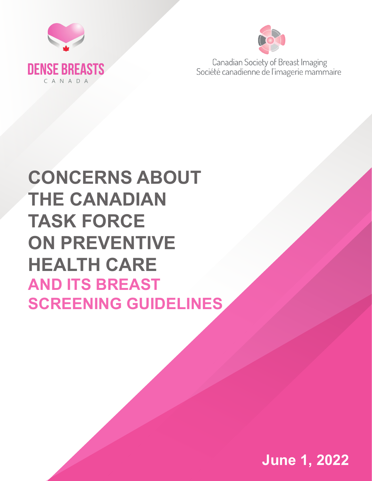



Canadian Society of Breast Imaging Société canadienne de l'imagerie mammaire

# **CONCERNS ABOUT THE CANADIAN TASK FORCE ON PREVENTIVE HEALTH CARE AND ITS BREAST SCREENING GUIDELINES**

**June 1, 2022**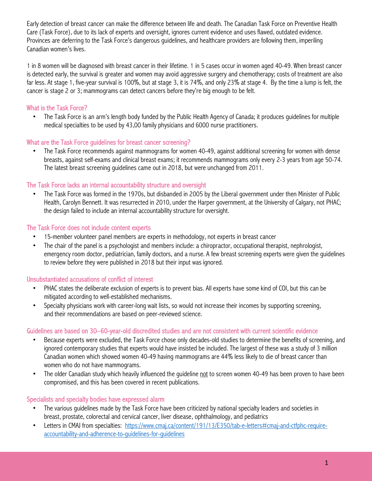Early detection of breast cancer can make the difference between life and death. The Canadian Task Force on Preventive Health Care (Task Force), due to its lack of experts and oversight, ignores current evidence and uses flawed, outdated evidence. Provinces are deferring to the Task Force's dangerous guidelines, and healthcare providers are following them, imperiling Canadian women's lives.

1 in 8 women will be diagnosed with breast cancer in their lifetime. 1 in 5 cases occur in women aged 40-49. When breast cancer is detected early, the survival is greater and women may avoid aggressive surgery and chemotherapy; costs of treatment are also far less. At stage 1, five-year survival is 100%, but at stage 3, it is 74%, and only 23% at stage 4. By the time a lump is felt, the cancer is stage 2 or 3; mammograms can detect cancers before they're big enough to be felt.

# What is the Task Force?

• The Task Force is an arm's length body funded by the Public Health Agency of Canada; it produces guidelines for multiple medical specialties to be used by 43,00 family physicians and 6000 nurse practitioners.

## What are the Task Force guidelines for breast cancer screening?

• The Task Force recommends against mammograms for women 40-49, against additional screening for women with dense breasts, against self-exams and clinical breast exams; it recommends mammograms only every 2-3 years from age 50-74. The latest breast screening guidelines came out in 2018, but were unchanged from 2011.

## The Task Force lacks an internal accountability structure and oversight

• The Task Force was formed in the 1970s, but disbanded in 2005 by the Liberal government under then Minister of Public Health, Carolyn Bennett. It was resurrected in 2010, under the Harper government, at the University of Calgary, not PHAC; the design failed to include an internal accountability structure for oversight.

## The Task Force does not include content experts

- 15-member volunteer panel members are experts in methodology, not experts in breast cancer
- The chair of the panel is a psychologist and members include: a chiropractor, occupational therapist, nephrologist, emergency room doctor, pediatrician, family doctors, and a nurse. A few breast screening experts were given the guidelines to review before they were published in 2018 but their input was ignored.

## Unsubstantiated accusations of conflict of interest

- PHAC states the deliberate exclusion of experts is to prevent bias. All experts have some kind of COI, but this can be mitigated according to well-established mechanisms.
- Specialty physicians work with career-long wait lists, so would not increase their incomes by supporting screening, and their recommendations are based on peer-reviewed science.

## Guidelines are based on 30–60-year-old discredited studies and are not consistent with current scientific evidence

- Because experts were excluded, the Task Force chose only decades-old studies to determine the benefits of screening, and ignored contemporary studies that experts would have insisted be included. The largest of these was a study of 3 million Canadian women which showed women 40-49 having mammograms are 44% less likely to die of breast cancer than women who do not have mammograms.
- The older Canadian study which heavily influenced the guideline not to screen women 40-49 has been proven to have been compromised, and this has been covered in recent publications.

## Specialists and specialty bodies have expressed alarm

- The various guidelines made by the Task Force have been criticized by national specialty leaders and societies in breast, prostate, colorectal and cervical cancer, liver disease, ophthalmology, and pediatrics
- Letters in CMAJ from specialties: https://www.cmaj.ca/content/191/13/E350/tab-e-letters#cmaj-and-ctfphc-requireaccountability-and-adherence-to-guidelines-for-guidelines